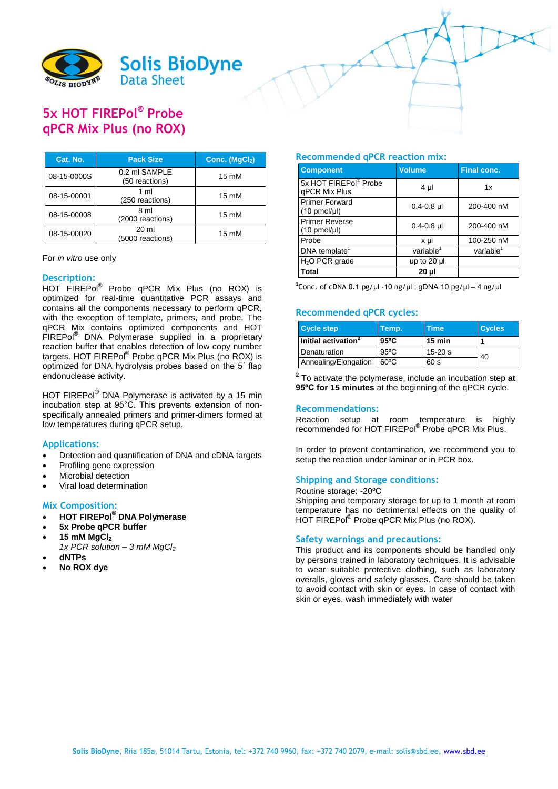

# **5x HOT FIREPol® Probe qPCR Mix Plus (no ROX)**

| Cat. No.    | <b>Pack Size</b>                     | Conc. (MgCl <sub>2</sub> ) |
|-------------|--------------------------------------|----------------------------|
| 08-15-0000S | 0.2 ml SAMPLE<br>(50 reactions)      | $15 \text{ mM}$            |
| 08-15-00001 | $1 \text{ ml}$<br>(250 reactions)    | $15 \text{ mM}$            |
| 08-15-00008 | 8 <sub>m</sub><br>(2000 reactions)   | $15 \text{ mM}$            |
| 08-15-00020 | $20 \mathrm{ml}$<br>(5000 reactions) | $15 \text{ mM}$            |

#### For *in vitro* use only

# **Description:**

HOT FIREPol® Probe qPCR Mix Plus (no ROX) is optimized for real-time quantitative PCR assays and contains all the components necessary to perform qPCR, with the exception of template, primers, and probe. The qPCR Mix contains optimized components and HOT FIREPol<sup>®</sup> DNA Polymerase supplied in a proprietary reaction buffer that enables detection of low copy number targets. HOT FIREPol<sup>®</sup> Probe qPCR Mix Plus (no ROX) is optimized for DNA hydrolysis probes based on the 5´ flap endonuclease activity.

HOT FIREPol<sup>®</sup> DNA Polymerase is activated by a 15 min incubation step at 95°C. This prevents extension of nonspecifically annealed primers and primer-dimers formed at low temperatures during qPCR setup.

### **Applications:**

- Detection and quantification of DNA and cDNA targets
- Profiling gene expression
- Microbial detection
- Viral load determination

# **Mix Composition:**

- **HOT FIREPol® DNA Polymerase**
- **5x Probe qPCR buffer**
- **15 mM MgCl<sup>2</sup>**
	- *1x PCR solution – 3 mM MgCl<sup>2</sup>*
- **dNTPs**
- **No ROX dye**

### **Recommended qPCR reaction mix:**

| <b>Component</b>                                   | <b>Volume</b>         | <b>Final conc.</b>    |  |
|----------------------------------------------------|-----------------------|-----------------------|--|
| 5x HOT FIREPol® Probe<br>gPCR Mix Plus             | 4 µl                  | 1x                    |  |
| <b>Primer Forward</b><br>$(10 \text{ pmol/}\mu l)$ | $0.4 - 0.8$ µl        | 200-400 nM            |  |
| <b>Primer Reverse</b><br>$(10 \text{ pmol/}\mu l)$ | $0.4 - 0.8$ µ         | 200-400 nM            |  |
| Probe                                              | x µl                  | 100-250 nM            |  |
| DNA template <sup>1</sup>                          | variable <sup>1</sup> | variable <sup>1</sup> |  |
| $H2O$ PCR grade                                    | up to 20 µl           |                       |  |
| Total                                              | 20 µl                 |                       |  |

<sup>1</sup>Conc. of cDNA 0.1 pg/µl -10 ng/µl ; gDNA 10 pg/µl – 4 ng/µl

### **Recommended qPCR cycles:**

| <b>Cycle step</b>               | Temp.          | <b>Time</b>      | <b>Cycles</b> |
|---------------------------------|----------------|------------------|---------------|
| Initial activation <sup>2</sup> | $95^{\circ}$ C | $15 \text{ min}$ |               |
| Denaturation                    | $95^{\circ}$ C | $15 - 20s$       | 40            |
| Annealing/Elongation            | $60^{\circ}$ C | 60 s             |               |

**2** To activate the polymerase, include an incubation step **at 95ºC for 15 minutes** at the beginning of the qPCR cycle.

# **Recommendations:**

Reaction setup at room temperature is highly recommended for HOT FIREPol® Probe qPCR Mix Plus.

In order to prevent contamination, we recommend you to setup the reaction under laminar or in PCR box.

#### **Shipping and Storage conditions:**

#### Routine storage: -20ºC

Shipping and temporary storage for up to 1 month at room temperature has no detrimental effects on the quality of HOT FIREPol<sup>®</sup> Probe qPCR Mix Plus (no ROX).

### **Safety warnings and precautions:**

This product and its components should be handled only by persons trained in laboratory techniques. It is advisable to wear suitable protective clothing, such as laboratory overalls, gloves and safety glasses. Care should be taken to avoid contact with skin or eyes. In case of contact with skin or eyes, wash immediately with water